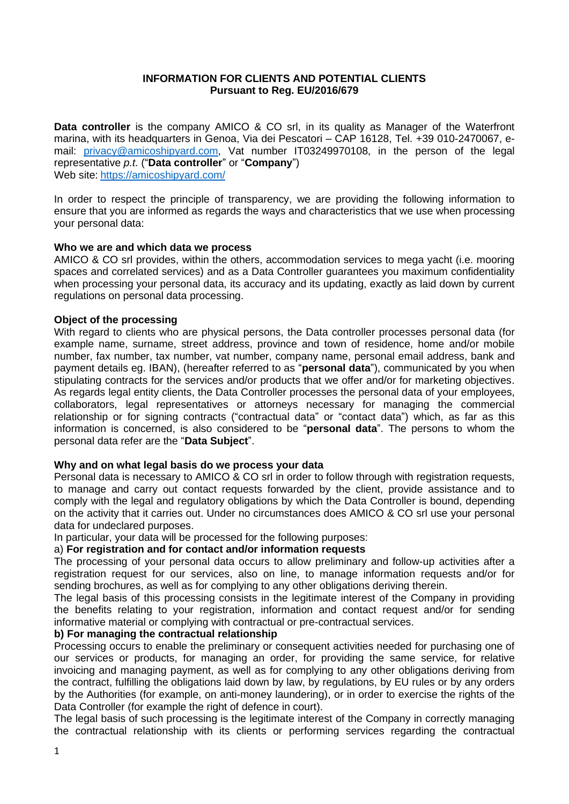#### **INFORMATION FOR CLIENTS AND POTENTIAL CLIENTS Pursuant to Reg. EU/2016/679**

**Data controller** is the company AMICO & CO srl, in its quality as Manager of the Waterfront marina, with its headquarters in Genoa, Via dei Pescatori – CAP 16128, Tel. +39 010-2470067, email: [privacy@amicoshipyard.com,](mailto:privacy@amicoshipyard.com) Vat number IT03249970108, in the person of the legal representative *p.t.* ("**Data controller**" or "**Company**") Web site: <https://amicoshipyard.com/>

In order to respect the principle of transparency, we are providing the following information to ensure that you are informed as regards the ways and characteristics that we use when processing your personal data:

# **Who we are and which data we process**

AMICO & CO srl provides, within the others, accommodation services to mega yacht (i.e. mooring spaces and correlated services) and as a Data Controller guarantees you maximum confidentiality when processing your personal data, its accuracy and its updating, exactly as laid down by current regulations on personal data processing.

# **Object of the processing**

With regard to clients who are physical persons, the Data controller processes personal data (for example name, surname, street address, province and town of residence, home and/or mobile number, fax number, tax number, vat number, company name, personal email address, bank and payment details eg. IBAN), (hereafter referred to as "**personal data**"), communicated by you when stipulating contracts for the services and/or products that we offer and/or for marketing objectives. As regards legal entity clients, the Data Controller processes the personal data of your employees, collaborators, legal representatives or attorneys necessary for managing the commercial relationship or for signing contracts ("contractual data" or "contact data") which, as far as this information is concerned, is also considered to be "**personal data**". The persons to whom the personal data refer are the "**Data Subject**".

# **Why and on what legal basis do we process your data**

Personal data is necessary to AMICO & CO srl in order to follow through with registration requests, to manage and carry out contact requests forwarded by the client, provide assistance and to comply with the legal and regulatory obligations by which the Data Controller is bound, depending on the activity that it carries out. Under no circumstances does AMICO & CO srl use your personal data for undeclared purposes.

In particular, your data will be processed for the following purposes:

# a) **For registration and for contact and/or information requests**

The processing of your personal data occurs to allow preliminary and follow-up activities after a registration request for our services, also on line, to manage information requests and/or for sending brochures, as well as for complying to any other obligations deriving therein.

The legal basis of this processing consists in the legitimate interest of the Company in providing the benefits relating to your registration, information and contact request and/or for sending informative material or complying with contractual or pre-contractual services.

# **b) For managing the contractual relationship**

Processing occurs to enable the preliminary or consequent activities needed for purchasing one of our services or products, for managing an order, for providing the same service, for relative invoicing and managing payment, as well as for complying to any other obligations deriving from the contract, fulfilling the obligations laid down by law, by regulations, by EU rules or by any orders by the Authorities (for example, on anti-money laundering), or in order to exercise the rights of the Data Controller (for example the right of defence in court).

The legal basis of such processing is the legitimate interest of the Company in correctly managing the contractual relationship with its clients or performing services regarding the contractual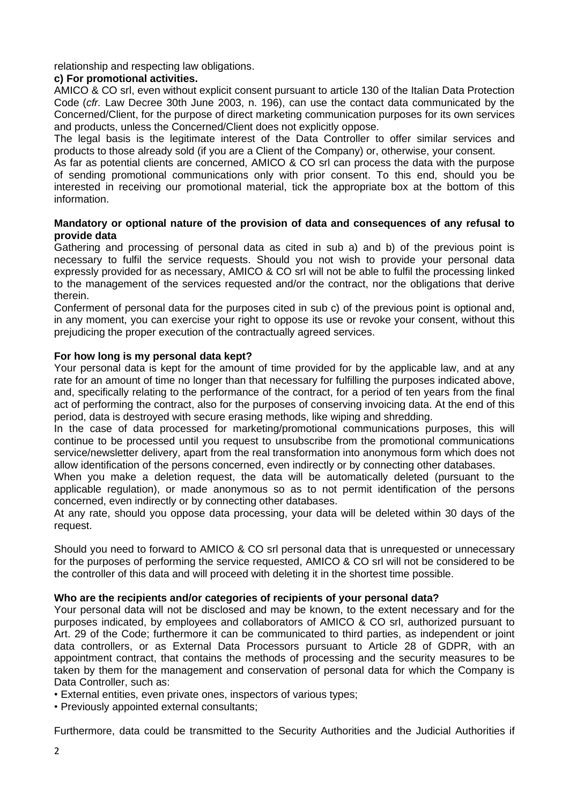relationship and respecting law obligations.

# **c) For promotional activities.**

AMICO & CO srl, even without explicit consent pursuant to article 130 of the Italian Data Protection Code (*cfr.* Law Decree 30th June 2003, n. 196), can use the contact data communicated by the Concerned/Client, for the purpose of direct marketing communication purposes for its own services and products, unless the Concerned/Client does not explicitly oppose.

The legal basis is the legitimate interest of the Data Controller to offer similar services and products to those already sold (if you are a Client of the Company) or, otherwise, your consent.

As far as potential clients are concerned, AMICO & CO srl can process the data with the purpose of sending promotional communications only with prior consent. To this end, should you be interested in receiving our promotional material, tick the appropriate box at the bottom of this information.

# **Mandatory or optional nature of the provision of data and consequences of any refusal to provide data**

Gathering and processing of personal data as cited in sub a) and b) of the previous point is necessary to fulfil the service requests. Should you not wish to provide your personal data expressly provided for as necessary, AMICO & CO srl will not be able to fulfil the processing linked to the management of the services requested and/or the contract, nor the obligations that derive therein.

Conferment of personal data for the purposes cited in sub c) of the previous point is optional and, in any moment, you can exercise your right to oppose its use or revoke your consent, without this prejudicing the proper execution of the contractually agreed services.

# **For how long is my personal data kept?**

Your personal data is kept for the amount of time provided for by the applicable law, and at any rate for an amount of time no longer than that necessary for fulfilling the purposes indicated above, and, specifically relating to the performance of the contract, for a period of ten years from the final act of performing the contract, also for the purposes of conserving invoicing data. At the end of this period, data is destroyed with secure erasing methods, like wiping and shredding.

In the case of data processed for marketing/promotional communications purposes, this will continue to be processed until you request to unsubscribe from the promotional communications service/newsletter delivery, apart from the real transformation into anonymous form which does not allow identification of the persons concerned, even indirectly or by connecting other databases.

When you make a deletion request, the data will be automatically deleted (pursuant to the applicable regulation), or made anonymous so as to not permit identification of the persons concerned, even indirectly or by connecting other databases.

At any rate, should you oppose data processing, your data will be deleted within 30 days of the request.

Should you need to forward to AMICO & CO srl personal data that is unrequested or unnecessary for the purposes of performing the service requested, AMICO & CO srl will not be considered to be the controller of this data and will proceed with deleting it in the shortest time possible.

# **Who are the recipients and/or categories of recipients of your personal data?**

Your personal data will not be disclosed and may be known, to the extent necessary and for the purposes indicated, by employees and collaborators of AMICO & CO srl, authorized pursuant to Art. 29 of the Code; furthermore it can be communicated to third parties, as independent or joint data controllers, or as External Data Processors pursuant to Article 28 of GDPR, with an appointment contract, that contains the methods of processing and the security measures to be taken by them for the management and conservation of personal data for which the Company is Data Controller, such as:

• External entities, even private ones, inspectors of various types;

• Previously appointed external consultants;

Furthermore, data could be transmitted to the Security Authorities and the Judicial Authorities if